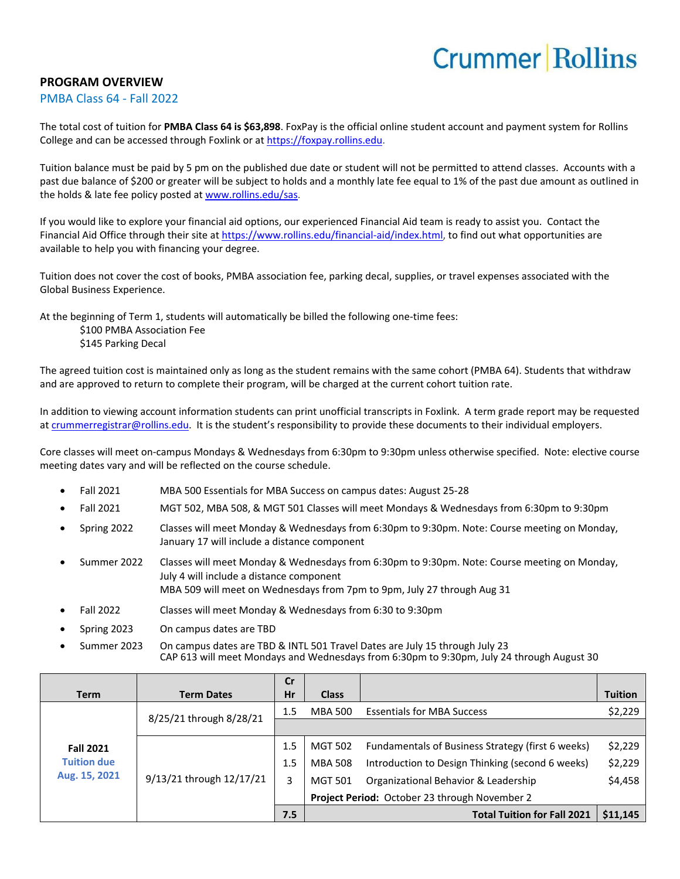## **Crummer Rollins**

## **PROGRAM OVERVIEW**

## PMBA Class 64 - Fall 2022

The total cost of tuition for **PMBA Class 64 is \$63,898**. FoxPay is the official online student account and payment system for Rollins College and can be accessed through Foxlink or a[t https://foxpay.rollins.edu.](https://foxpay.rollins.edu/)

Tuition balance must be paid by 5 pm on the published due date or student will not be permitted to attend classes. Accounts with a past due balance of \$200 or greater will be subject to holds and a monthly late fee equal to 1% of the past due amount as outlined in the holds & late fee policy posted at [www.rollins.edu/sas.](http://www.rollins.edu/sas)

If you would like to explore your financial aid options, our experienced Financial Aid team is ready to assist you. Contact the Financial Aid Office through their site at [https://www.rollins.edu/financial-aid/index.html,](https://www.rollins.edu/financial-aid/index.html) to find out what opportunities are available to help you with financing your degree.

Tuition does not cover the cost of books, PMBA association fee, parking decal, supplies, or travel expenses associated with the Global Business Experience.

At the beginning of Term 1, students will automatically be billed the following one-time fees:

\$100 PMBA Association Fee \$145 Parking Decal

The agreed tuition cost is maintained only as long as the student remains with the same cohort (PMBA 64). Students that withdraw and are approved to return to complete their program, will be charged at the current cohort tuition rate.

In addition to viewing account information students can print unofficial transcripts in Foxlink. A term grade report may be requested a[t crummerregistrar@rollins.edu](mailto:crummerregistrar@rollins.edu). It is the student's responsibility to provide these documents to their individual employers.

Core classes will meet on-campus Mondays & Wednesdays from 6:30pm to 9:30pm unless otherwise specified. Note: elective course meeting dates vary and will be reflected on the course schedule.

- Fall 2021 MBA 500 Essentials for MBA Success on campus dates: August 25-28
- Fall 2021 MGT 502, MBA 508, & MGT 501 Classes will meet Mondays & Wednesdays from 6:30pm to 9:30pm
- Spring 2022 Classes will meet Monday & Wednesdays from 6:30pm to 9:30pm. Note: Course meeting on Monday, January 17 will include a distance component
- Summer 2022 Classes will meet Monday & Wednesdays from 6:30pm to 9:30pm. Note: Course meeting on Monday, July 4 will include a distance component MBA 509 will meet on Wednesdays from 7pm to 9pm, July 27 through Aug 31
- Fall 2022 Classes will meet Monday & Wednesdays from 6:30 to 9:30pm
- Spring 2023 On campus dates are TBD
- Summer 2023 On campus dates are TBD & INTL 501 Travel Dates are July 15 through July 23 CAP 613 will meet Mondays and Wednesdays from 6:30pm to 9:30pm, July 24 through August 30

|                                                         |                          | <b>Cr</b> |                                               |                                                   |                |
|---------------------------------------------------------|--------------------------|-----------|-----------------------------------------------|---------------------------------------------------|----------------|
| <b>Term</b>                                             | <b>Term Dates</b>        | Hr        | <b>Class</b>                                  |                                                   | <b>Tuition</b> |
| <b>Fall 2021</b><br><b>Tuition due</b><br>Aug. 15, 2021 | 8/25/21 through 8/28/21  | 1.5       | MBA 500                                       | <b>Essentials for MBA Success</b>                 | \$2,229        |
|                                                         |                          |           |                                               |                                                   |                |
|                                                         | 9/13/21 through 12/17/21 | 1.5       | <b>MGT 502</b>                                | Fundamentals of Business Strategy (first 6 weeks) | \$2,229        |
|                                                         |                          | 1.5       | <b>MBA 508</b>                                | Introduction to Design Thinking (second 6 weeks)  | \$2,229        |
|                                                         |                          | 3         | <b>MGT 501</b>                                | Organizational Behavior & Leadership              | \$4,458        |
|                                                         |                          |           | Project Period: October 23 through November 2 |                                                   |                |
|                                                         |                          | 7.5       |                                               | <b>Total Tuition for Fall 2021</b>                | \$11,145       |